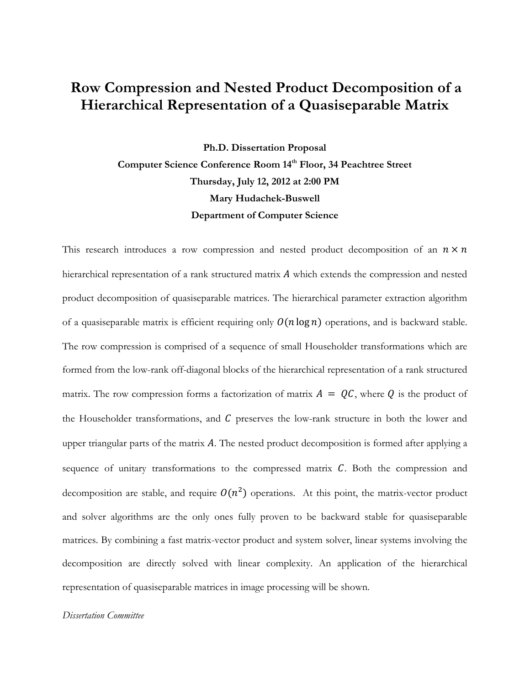## Row Compression and Nested Product Decomposition of a Hierarchical Representation of a Quasiseparable Matrix

Ph.D. Dissertation Proposal Computer Science Conference Room 14<sup>th</sup> Floor, 34 Peachtree Street Thursday, July 12, 2012 at 2:00 PM Mary Hudachek-Buswell Department of Computer Science

This research introduces a row compression and nested product decomposition of an  $n \times n$ hierarchical representation of a rank structured matrix  $A$  which extends the compression and nested product decomposition of quasiseparable matrices. The hierarchical parameter extraction algorithm of a quasiseparable matrix is efficient requiring only  $O(n \log n)$  operations, and is backward stable. The row compression is comprised of a sequence of small Householder transformations which are formed from the low-rank off-diagonal blocks of the hierarchical representation of a rank structured matrix. The row compression forms a factorization of matrix  $A = QC$ , where Q is the product of the Householder transformations, and  $C$  preserves the low-rank structure in both the lower and upper triangular parts of the matrix  $\vec{A}$ . The nested product decomposition is formed after applying a sequence of unitary transformations to the compressed matrix  $C$ . Both the compression and decomposition are stable, and require  $O(n^2)$  operations. At this point, the matrix-vector product and solver algorithms are the only ones fully proven to be backward stable for quasiseparable matrices. By combining a fast matrix-vector product and system solver, linear systems involving the decomposition are directly solved with linear complexity. An application of the hierarchical representation of quasiseparable matrices in image processing will be shown.

## Dissertation Committee